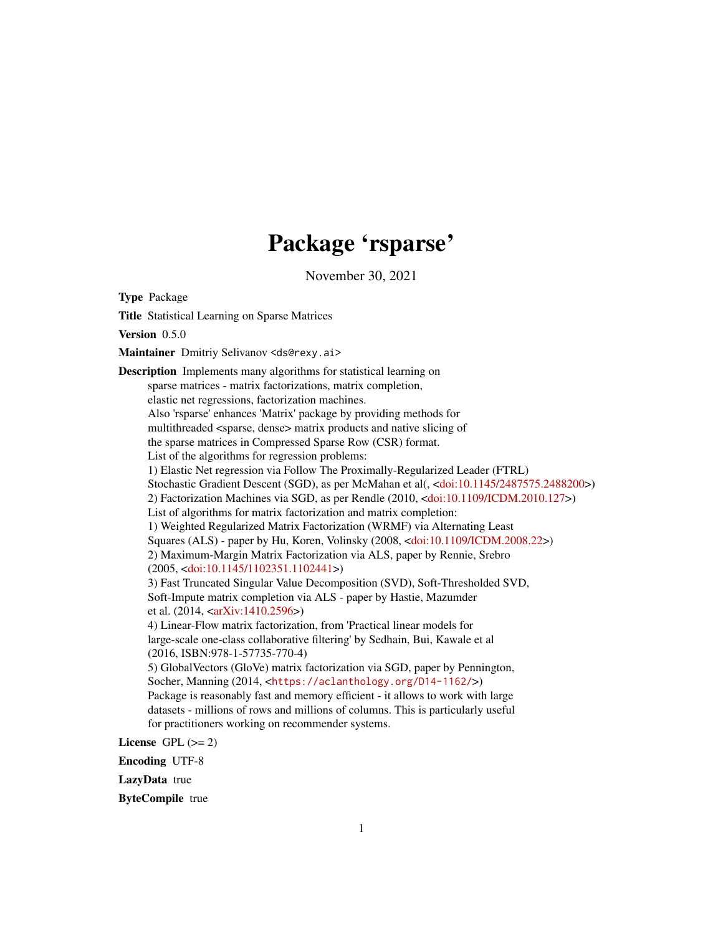# Package 'rsparse'

November 30, 2021

<span id="page-0-0"></span>Type Package Title Statistical Learning on Sparse Matrices Version 0.5.0 Maintainer Dmitriy Selivanov <ds@rexy.ai> Description Implements many algorithms for statistical learning on sparse matrices - matrix factorizations, matrix completion, elastic net regressions, factorization machines. Also 'rsparse' enhances 'Matrix' package by providing methods for multithreaded <sparse, dense> matrix products and native slicing of the sparse matrices in Compressed Sparse Row (CSR) format. List of the algorithms for regression problems: 1) Elastic Net regression via Follow The Proximally-Regularized Leader (FTRL) Stochastic Gradient Descent (SGD), as per McMahan et al(, [<doi:10.1145/2487575.2488200>](https://doi.org/10.1145/2487575.2488200)) 2) Factorization Machines via SGD, as per Rendle (2010, [<doi:10.1109/ICDM.2010.127>](https://doi.org/10.1109/ICDM.2010.127)) List of algorithms for matrix factorization and matrix completion: 1) Weighted Regularized Matrix Factorization (WRMF) via Alternating Least Squares (ALS) - paper by Hu, Koren, Volinsky (2008, [<doi:10.1109/ICDM.2008.22>](https://doi.org/10.1109/ICDM.2008.22)) 2) Maximum-Margin Matrix Factorization via ALS, paper by Rennie, Srebro (2005, [<doi:10.1145/1102351.1102441>](https://doi.org/10.1145/1102351.1102441)) 3) Fast Truncated Singular Value Decomposition (SVD), Soft-Thresholded SVD, Soft-Impute matrix completion via ALS - paper by Hastie, Mazumder et al. (2014, [<arXiv:1410.2596>](https://arxiv.org/abs/1410.2596)) 4) Linear-Flow matrix factorization, from 'Practical linear models for large-scale one-class collaborative filtering' by Sedhain, Bui, Kawale et al (2016, ISBN:978-1-57735-770-4) 5) GlobalVectors (GloVe) matrix factorization via SGD, paper by Pennington, Socher, Manning (2014, <<https://aclanthology.org/D14-1162/>>) Package is reasonably fast and memory efficient - it allows to work with large datasets - millions of rows and millions of columns. This is particularly useful for practitioners working on recommender systems.

License GPL  $(>= 2)$ 

Encoding UTF-8

LazyData true

ByteCompile true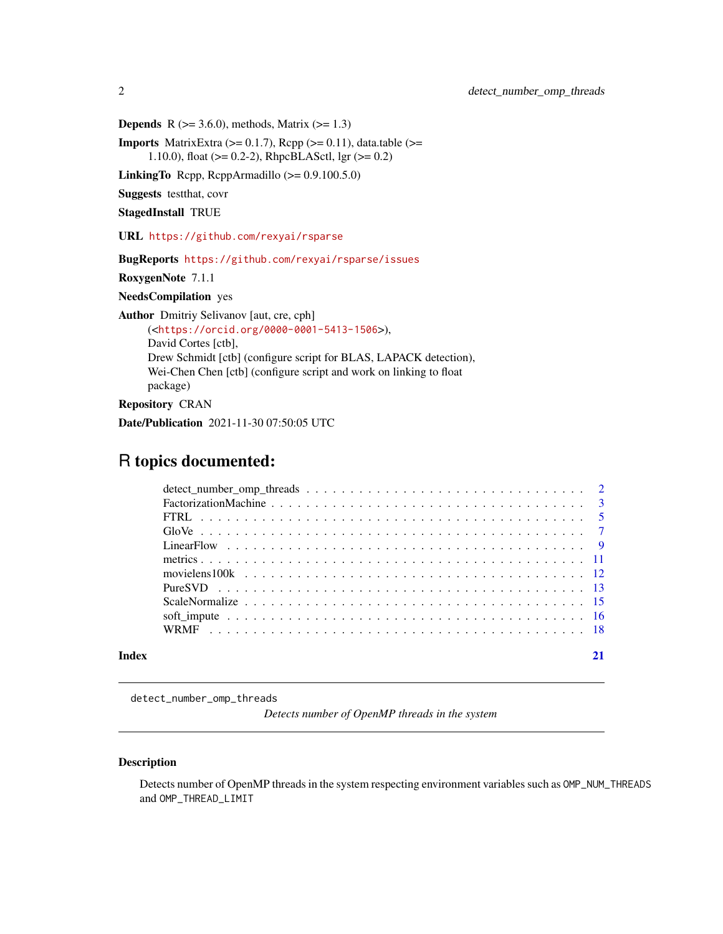**Depends** R  $(>= 3.6.0)$ , methods, Matrix  $(>= 1.3)$ 

**Imports** MatrixExtra  $(>= 0.1.7)$ , Rcpp  $(>= 0.11)$ , data.table  $(>=$ 1.10.0), float ( $> = 0.2-2$ ), RhpcBLASctl, lgr ( $>= 0.2$ )

LinkingTo Rcpp, RcppArmadillo (>= 0.9.100.5.0)

Suggests testthat, covr

StagedInstall TRUE

URL <https://github.com/rexyai/rsparse>

BugReports <https://github.com/rexyai/rsparse/issues>

RoxygenNote 7.1.1

NeedsCompilation yes

Author Dmitriy Selivanov [aut, cre, cph]

(<<https://orcid.org/0000-0001-5413-1506>>), David Cortes [ctb], Drew Schmidt [ctb] (configure script for BLAS, LAPACK detection), Wei-Chen Chen [ctb] (configure script and work on linking to float package) Repository CRAN

Date/Publication 2021-11-30 07:50:05 UTC

# R topics documented:

detect\_number\_omp\_threads

*Detects number of OpenMP threads in the system*

# Description

Detects number of OpenMP threads in the system respecting environment variables such as OMP\_NUM\_THREADS and OMP\_THREAD\_LIMIT

<span id="page-1-0"></span>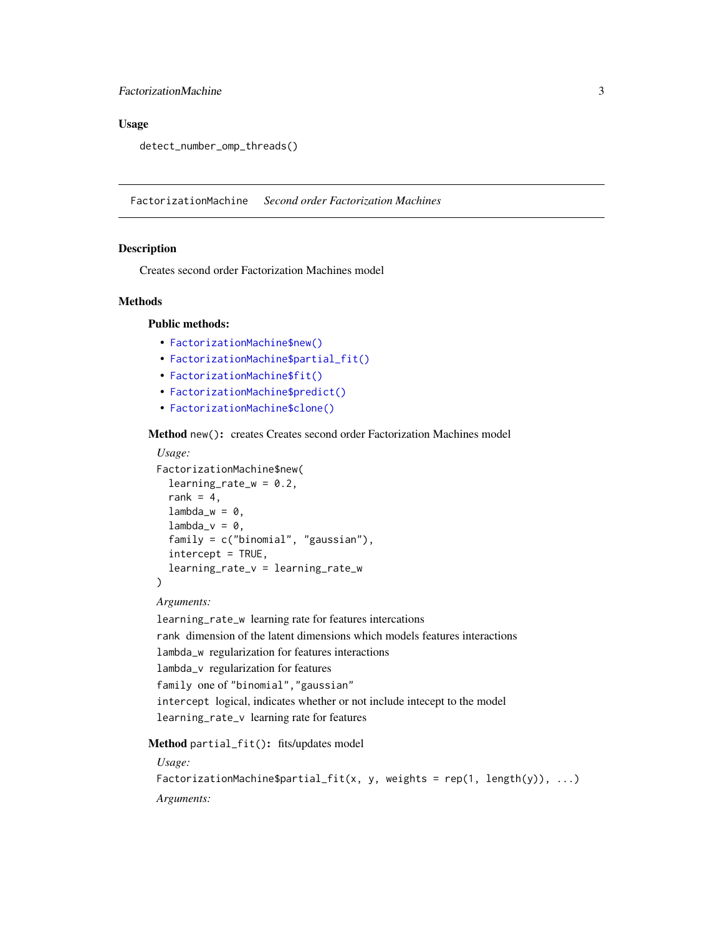# <span id="page-2-0"></span>FactorizationMachine 3

# Usage

detect\_number\_omp\_threads()

FactorizationMachine *Second order Factorization Machines*

#### **Description**

Creates second order Factorization Machines model

#### Methods

# Public methods:

- [FactorizationMachine\\$new\(\)](#page-2-1)
- [FactorizationMachine\\$partial\\_fit\(\)](#page-2-2)
- [FactorizationMachine\\$fit\(\)](#page-3-0)
- [FactorizationMachine\\$predict\(\)](#page-3-1)
- [FactorizationMachine\\$clone\(\)](#page-3-2)

# <span id="page-2-1"></span>Method new(): creates Creates second order Factorization Machines model

## *Usage:*

```
FactorizationMachine$new(
  learning_rate_w = 0.2,
  rank = 4,
  lambda_w = 0,
  lambda_v = 0,
  family = c("binomial", "gaussian"),
  intercept = TRUE,learning_rate_v = learning_rate_w
)
```
# *Arguments:*

```
learning_rate_w learning rate for features intercations
rank dimension of the latent dimensions which models features interactions
lambda_w regularization for features interactions
lambda_v regularization for features
family one of "binomial","gaussian"
intercept logical, indicates whether or not include intecept to the model
learning_rate_v learning rate for features
```
#### <span id="page-2-2"></span>Method partial\_fit(): fits/updates model

*Usage:*

```
FactorizationMachine$partial_fit(x, y, weights = rep(1, length(y)), ...)
Arguments:
```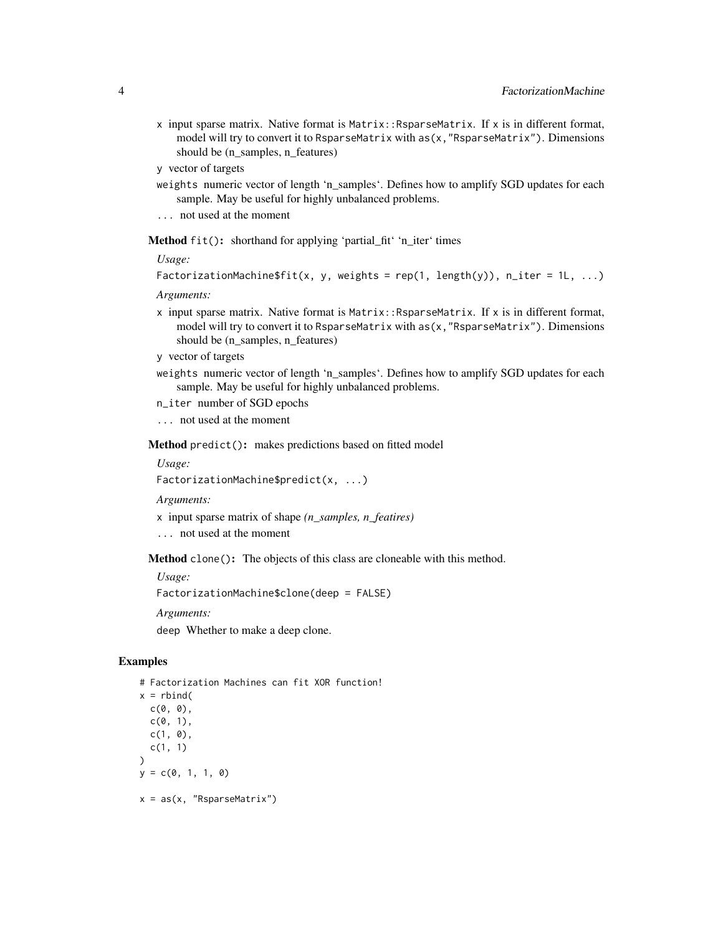- x input sparse matrix. Native format is Matrix::RsparseMatrix. If x is in different format, model will try to convert it to RsparseMatrix with as(x,"RsparseMatrix"). Dimensions should be (n\_samples, n\_features)
- y vector of targets
- weights numeric vector of length 'n\_samples'. Defines how to amplify SGD updates for each sample. May be useful for highly unbalanced problems.
- ... not used at the moment

<span id="page-3-0"></span>Method fit(): shorthand for applying 'partial\_fit' 'n\_iter' times

*Usage:*

```
FactorizationMachine$fit(x, y, weights = rep(1, length(y)), n_iter = 1L, ...)
```
*Arguments:*

- $x$  input sparse matrix. Native format is Matrix: RsparseMatrix. If  $x$  is in different format, model will try to convert it to RsparseMatrix with  $as(x, "Rsparsematrix").$  Dimensions should be (n\_samples, n\_features)
- y vector of targets
- weights numeric vector of length 'n samples'. Defines how to amplify SGD updates for each sample. May be useful for highly unbalanced problems.
- n\_iter number of SGD epochs
- ... not used at the moment

<span id="page-3-1"></span>Method predict(): makes predictions based on fitted model

*Usage:*

FactorizationMachine\$predict(x, ...)

*Arguments:*

- x input sparse matrix of shape *(n\_samples, n\_featires)*
- ... not used at the moment

<span id="page-3-2"></span>Method clone(): The objects of this class are cloneable with this method.

*Usage:*

FactorizationMachine\$clone(deep = FALSE)

*Arguments:*

deep Whether to make a deep clone.

# Examples

```
# Factorization Machines can fit XOR function!
x = \text{rbind}(c(\emptyset, \emptyset),c(0, 1),c(1, 0),
  c(1, 1)
\mathcal{L}y = c(0, 1, 1, 0)x = as(x, "RsparselMatrix")
```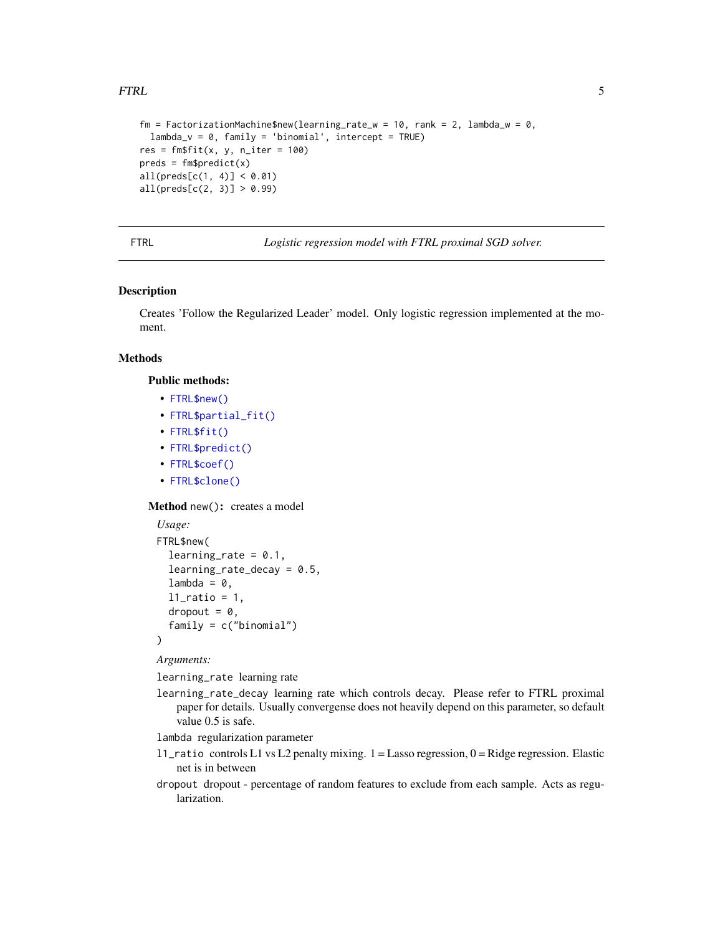#### <span id="page-4-0"></span>FTRL 5

```
fm = FactorizationMachine$new(learning_rate_w = 10, rank = 2, lambda_w = 0,lambda_v = 0, family = 'binomial', intercept = TRUE)
res = fm$fit(x, y, n_{iter} = 100)preds = fm$predict(x)all(preds[c(1, 4)] < 0.01)all(preds[c(2, 3)] > 0.99)
```
FTRL *Logistic regression model with FTRL proximal SGD solver.*

# Description

Creates 'Follow the Regularized Leader' model. Only logistic regression implemented at the moment.

# Methods

#### Public methods:

- [FTRL\\$new\(\)](#page-2-1)
- [FTRL\\$partial\\_fit\(\)](#page-2-2)
- [FTRL\\$fit\(\)](#page-3-0)
- [FTRL\\$predict\(\)](#page-3-1)
- [FTRL\\$coef\(\)](#page-5-0)
- [FTRL\\$clone\(\)](#page-3-2)

Method new(): creates a model

```
Usage:
FTRL$new(
  learning_rate = 0.1,
  learning_rate\_decay = 0.5,
  lambda = 0,
  l1<sup>ratio = 1,</sup>
  dropout = 0,
  family = c("binomial")
)
```
*Arguments:*

learning\_rate learning rate

learning\_rate\_decay learning rate which controls decay. Please refer to FTRL proximal paper for details. Usually convergense does not heavily depend on this parameter, so default value 0.5 is safe.

lambda regularization parameter

- l1\_ratio controls L1 vs L2 penalty mixing. 1 = Lasso regression, 0 = Ridge regression. Elastic net is in between
- dropout dropout percentage of random features to exclude from each sample. Acts as regularization.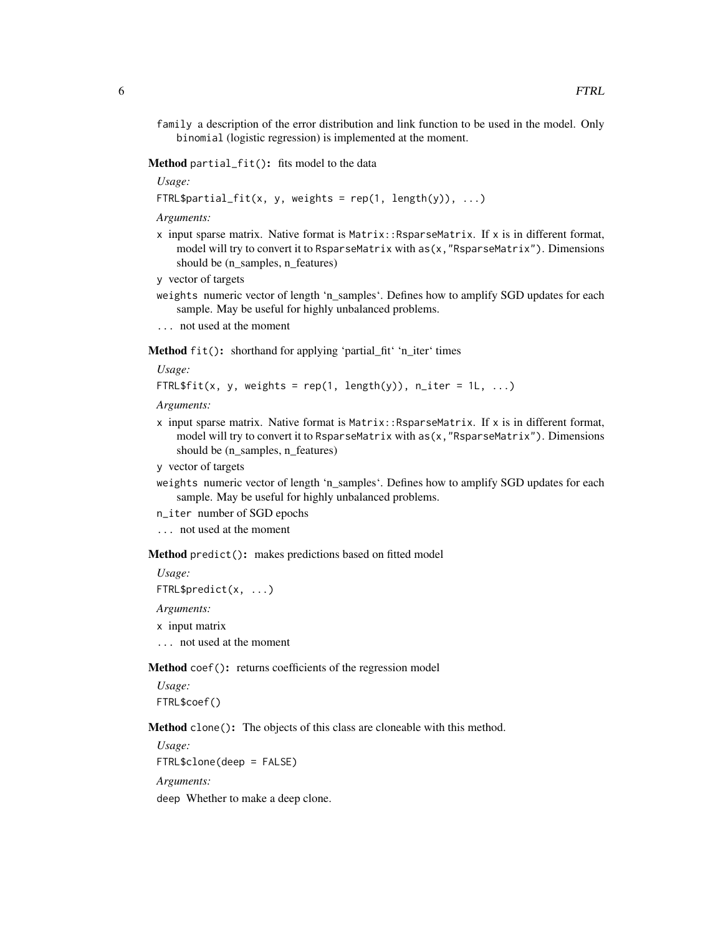family a description of the error distribution and link function to be used in the model. Only binomial (logistic regression) is implemented at the moment.

Method partial\_fit(): fits model to the data

*Usage:*

FTRL\$partial\_fit(x, y, weights =  $rep(1, length(y)), ...$ )

*Arguments:*

- x input sparse matrix. Native format is Matrix::RsparseMatrix. If x is in different format, model will try to convert it to RsparseMatrix with  $as(x, "RsparseMatrix")$ . Dimensions should be (n\_samples, n\_features)
- y vector of targets
- weights numeric vector of length 'n samples'. Defines how to amplify SGD updates for each sample. May be useful for highly unbalanced problems.
- ... not used at the moment

Method fit(): shorthand for applying 'partial\_fit' 'n\_iter' times

*Usage:*

```
FTRL$fit(x, y, weights = rep(1, length(y)), n_iter = 1L, ...)
```
*Arguments:*

- x input sparse matrix. Native format is Matrix::RsparseMatrix. If x is in different format, model will try to convert it to RsparseMatrix with as(x,"RsparseMatrix"). Dimensions should be (n\_samples, n\_features)
- y vector of targets
- weights numeric vector of length 'n samples'. Defines how to amplify SGD updates for each sample. May be useful for highly unbalanced problems.
- n\_iter number of SGD epochs
- ... not used at the moment

Method predict(): makes predictions based on fitted model

*Usage:*

```
FTRL$predict(x, ...)
```
*Arguments:*

- x input matrix
- ... not used at the moment

<span id="page-5-0"></span>Method coef(): returns coefficients of the regression model

*Usage:* FTRL\$coef()

Method clone(): The objects of this class are cloneable with this method.

*Usage:*

FTRL\$clone(deep = FALSE)

*Arguments:*

deep Whether to make a deep clone.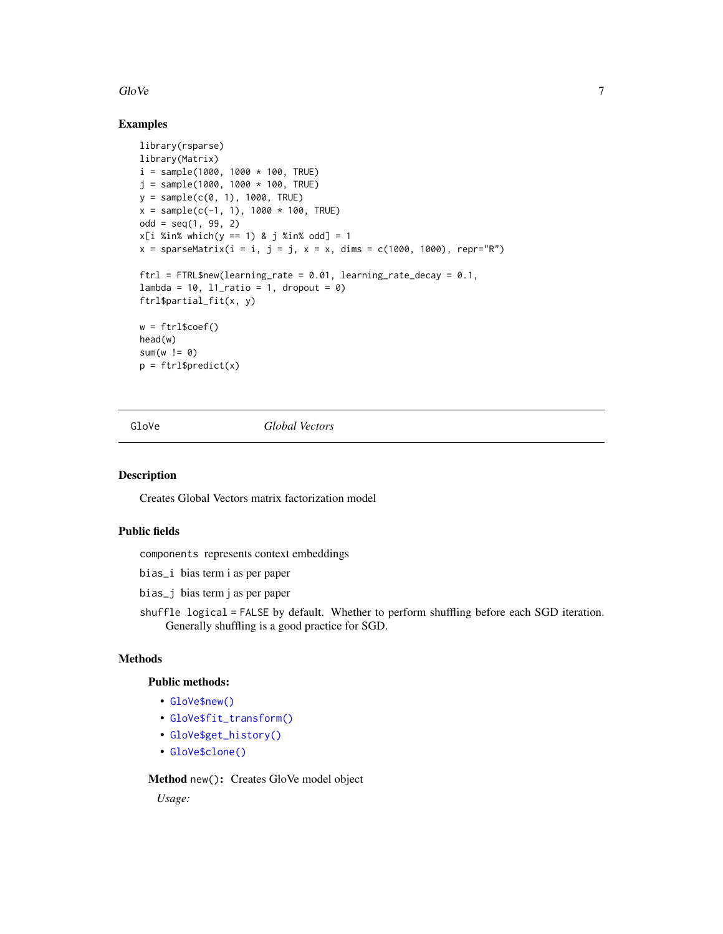#### <span id="page-6-0"></span> $G$ lo Ve $\sim$ 7

# Examples

```
library(rsparse)
library(Matrix)
i = sample(1000, 1000 * 100, TRUE)j = sample(1000, 1000 * 100, TRUE)y = sample(c(0, 1), 1000, TRUE)
x = sample(c(-1, 1), 1000 * 100, TRUE)odd = seq(1, 99, 2)x[i %in% which(y == 1) & j %in% odd] = 1
x = sparsematrix(i = i, j = j, x = x, dims = c(1000, 1000), repr="R")ftrl = FTRL$new(learning_rate = 0.01, learning_rate_decay = 0.1,
lambda = 10, l1<sub>ratio</sub> = 1, dropout = 0)
ftrl$partial_fit(x, y)
w = ftr1$coef()
head(w)
sum(w != 0)p = ftrl$predict(x)
```
GloVe *Global Vectors* 

#### Description

Creates Global Vectors matrix factorization model

# Public fields

components represents context embeddings

bias\_i bias term i as per paper

bias\_j bias term j as per paper

shuffle logical = FALSE by default. Whether to perform shuffling before each SGD iteration. Generally shuffling is a good practice for SGD.

#### Methods

# Public methods:

- [GloVe\\$new\(\)](#page-2-1)
- [GloVe\\$fit\\_transform\(\)](#page-7-0)
- [GloVe\\$get\\_history\(\)](#page-7-1)
- [GloVe\\$clone\(\)](#page-3-2)

Method new(): Creates GloVe model object

*Usage:*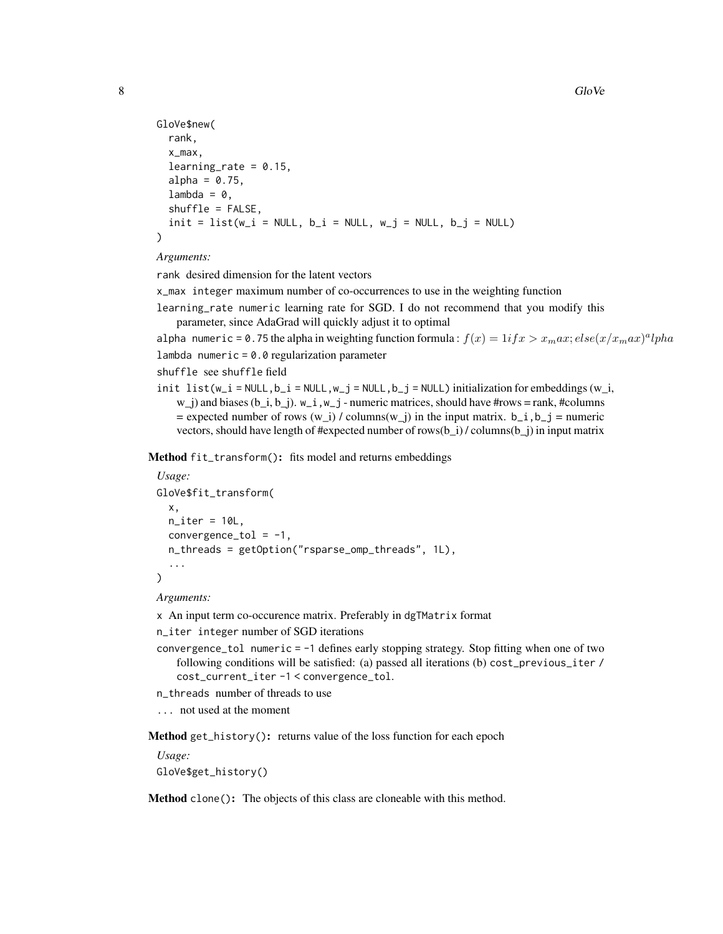```
GloVe$new(
  rank,
  x_max,
  learning_rate = 0.15,
  alpha = 0.75,
  lambda = 0,
  shuffle = FALSE,
  init = list(w_i = NULL, b_i = NULL, w_j = NULL, b_j = NULL))
```
#### *Arguments:*

rank desired dimension for the latent vectors

x\_max integer maximum number of co-occurrences to use in the weighting function

learning\_rate numeric learning rate for SGD. I do not recommend that you modify this parameter, since AdaGrad will quickly adjust it to optimal

alpha numeric = 0.75 the alpha in weighting function formula:  $f(x) = 1$ i $fx > x_{m}ax$ ;  $else(x/x_{m}ax)^{a}lpha$ 

lambda numeric =  $0.0$  regularization parameter

```
shuffle see shuffle field
```
init list(w\_i = NULL,b\_i = NULL,w\_j = NULL,b\_j = NULL) initialization for embeddings (w\_i,  $w_j$ ) and biases (b\_i, b\_j).  $w_i$  ,  $w_j$  - numeric matrices, should have #rows = rank, #columns  $=$  expected number of rows (w i) / columns(w j) in the input matrix. b\_i, b\_j = numeric vectors, should have length of #expected number of rows( $b_i$ ) / columns( $b_i$ ) in input matrix

<span id="page-7-0"></span>Method fit\_transform(): fits model and returns embeddings

```
Usage:
GloVe$fit_transform(
  x,
  n<sub>_iter</sub> = 10L,
  convergence_tol = -1,
  n_threads = getOption("rsparse_omp_threads", 1L),
  ...
)
```
*Arguments:*

x An input term co-occurence matrix. Preferably in dgTMatrix format

n\_iter integer number of SGD iterations

convergence\_tol numeric = -1 defines early stopping strategy. Stop fitting when one of two following conditions will be satisfied: (a) passed all iterations (b) cost\_previous\_iter / cost\_current\_iter -1 < convergence\_tol.

n\_threads number of threads to use

... not used at the moment

<span id="page-7-1"></span>Method get\_history(): returns value of the loss function for each epoch

```
Usage:
GloVe$get_history()
```
Method clone(): The objects of this class are cloneable with this method.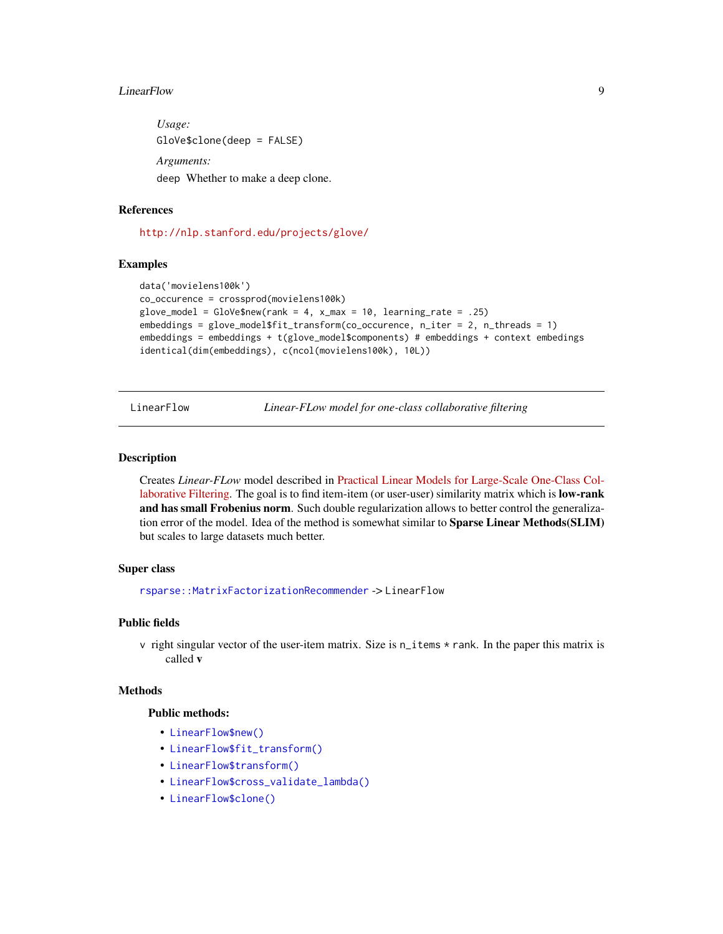#### <span id="page-8-0"></span>LinearFlow 9

*Usage:* GloVe\$clone(deep = FALSE) *Arguments:* deep Whether to make a deep clone.

# References

<http://nlp.stanford.edu/projects/glove/>

#### Examples

```
data('movielens100k')
co_occurence = crossprod(movielens100k)
glove_model = GloVe$new(rank = 4, x_max = 10, learning_rate = .25)embeddings = glove_model$fit_transform(co_occurence, n_iter = 2, n_threads = 1)
embeddings = embeddings + t(glove_model$components) # embeddings + context embedings
identical(dim(embeddings), c(ncol(movielens100k), 10L))
```
LinearFlow *Linear-FLow model for one-class collaborative filtering*

#### Description

Creates *Linear-FLow* model described in [Practical Linear Models for Large-Scale One-Class Col](http://www.bkveton.com/docs/ijcai2016.pdf)[laborative Filtering.](http://www.bkveton.com/docs/ijcai2016.pdf) The goal is to find item-item (or user-user) similarity matrix which is **low-rank** and has small Frobenius norm. Such double regularization allows to better control the generalization error of the model. Idea of the method is somewhat similar to Sparse Linear Methods(SLIM) but scales to large datasets much better.

#### Super class

[rsparse::MatrixFactorizationRecommender](#page-0-0) -> LinearFlow

# Public fields

v right singular vector of the user-item matrix. Size is n\_items \* rank. In the paper this matrix is called v

#### Methods

#### Public methods:

- [LinearFlow\\$new\(\)](#page-2-1)
- [LinearFlow\\$fit\\_transform\(\)](#page-7-0)
- [LinearFlow\\$transform\(\)](#page-9-0)
- [LinearFlow\\$cross\\_validate\\_lambda\(\)](#page-9-1)
- [LinearFlow\\$clone\(\)](#page-3-2)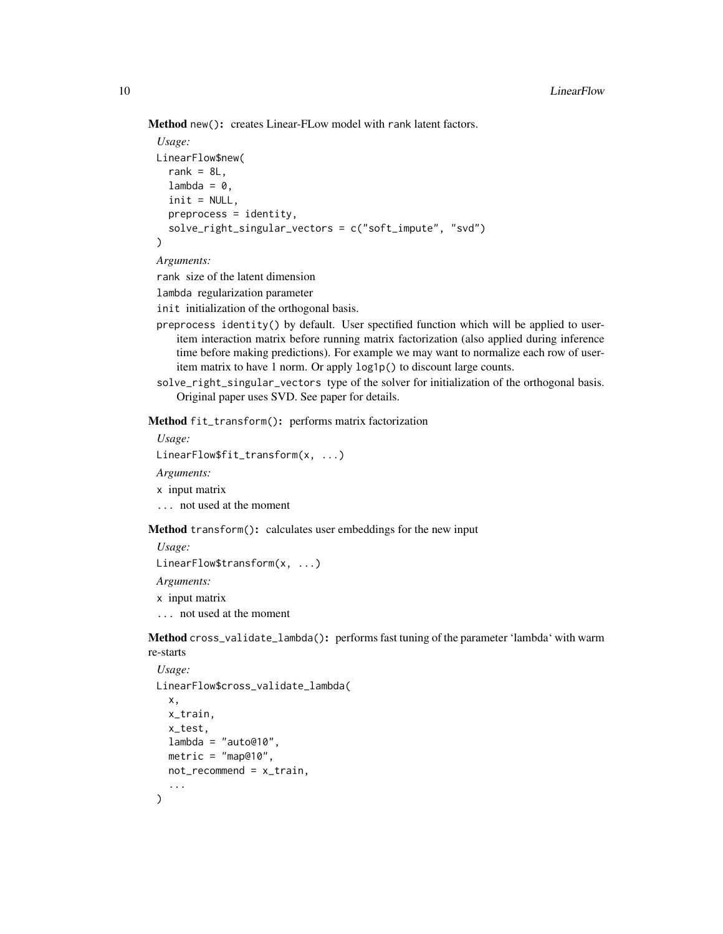Method new(): creates Linear-FLow model with rank latent factors.

```
Usage:
LinearFlow$new(
  rank = 8L.
  lambda = 0,
  init = NULL,
  preprocess = identity,
  solve_right_singular_vectors = c("soft_impute", "svd")
\lambda
```
# *Arguments:*

rank size of the latent dimension

```
lambda regularization parameter
```
init initialization of the orthogonal basis.

- preprocess identity() by default. User spectified function which will be applied to useritem interaction matrix before running matrix factorization (also applied during inference time before making predictions). For example we may want to normalize each row of useritem matrix to have 1 norm. Or apply log1p() to discount large counts.
- solve\_right\_singular\_vectors type of the solver for initialization of the orthogonal basis. Original paper uses SVD. See paper for details.

Method fit\_transform(): performs matrix factorization

*Usage:*

LinearFlow\$fit\_transform(x, ...)

*Arguments:*

- x input matrix
- ... not used at the moment

<span id="page-9-0"></span>Method transform(): calculates user embeddings for the new input

*Usage:*

LinearFlow\$transform(x, ...)

*Arguments:*

x input matrix

... not used at the moment

<span id="page-9-1"></span>Method cross\_validate\_lambda(): performs fast tuning of the parameter 'lambda' with warm re-starts

```
Usage:
LinearFlow$cross_validate_lambda(
  x,
 x_train,
  x_test,
 lambda = "auto@10",
 metric = "map@10",
 not_recommand = x_train,...
)
```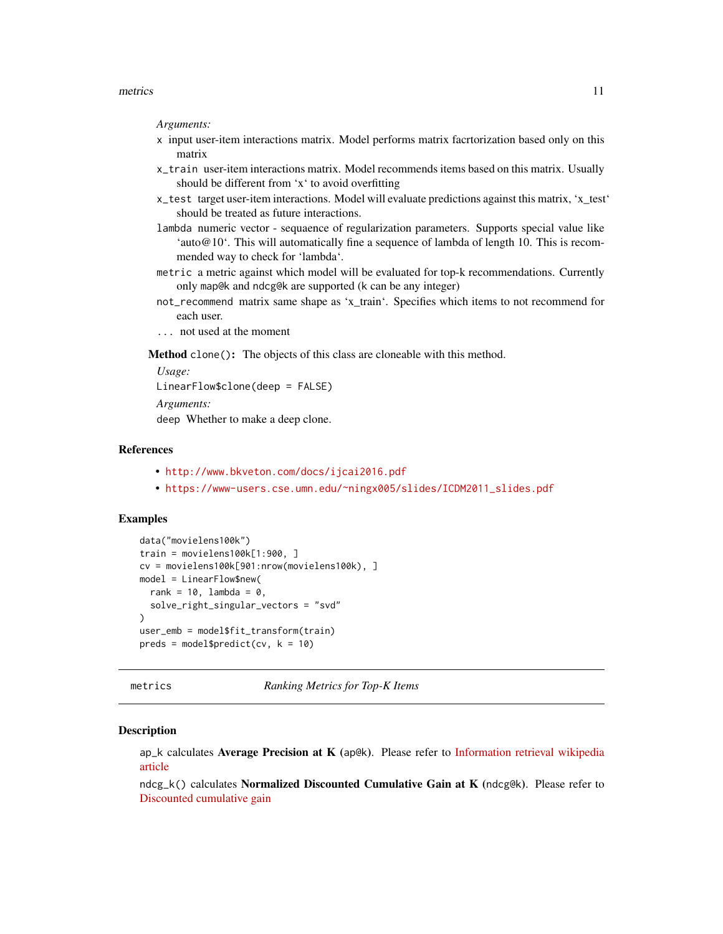#### <span id="page-10-0"></span>metrics 11

#### *Arguments:*

- x input user-item interactions matrix. Model performs matrix facrtorization based only on this matrix
- x\_train user-item interactions matrix. Model recommends items based on this matrix. Usually should be different from 'x' to avoid overfitting
- x\_test target user-item interactions. Model will evaluate predictions against this matrix, 'x\_test' should be treated as future interactions.
- lambda numeric vector sequaence of regularization parameters. Supports special value like 'auto@10'. This will automatically fine a sequence of lambda of length 10. This is recommended way to check for 'lambda'.
- metric a metric against which model will be evaluated for top-k recommendations. Currently only map@k and ndcg@k are supported (k can be any integer)
- not\_recommend matrix same shape as 'x\_train'. Specifies which items to not recommend for each user.
- ... not used at the moment

Method clone(): The objects of this class are cloneable with this method.

*Usage:*

```
LinearFlow$clone(deep = FALSE)
```
*Arguments:*

deep Whether to make a deep clone.

# References

- <http://www.bkveton.com/docs/ijcai2016.pdf>
- [https://www-users.cse.umn.edu/~ningx005/slides/ICDM2011\\_slides.pdf](https://www-users.cse.umn.edu/~ningx005/slides/ICDM2011_slides.pdf)

# Examples

```
data("movielens100k")
train = movielens100k[1:900, ]
cv = movielens100k[901:nrow(movielens100k), ]
model = LinearFlow$new(
 rank = 10, lambda = 0,
 solve_right_singular_vectors = "svd"
)
user_emb = model$fit_transform(train)
preds = model$predict(cv, k = 10)
```
metrics *Ranking Metrics for Top-K Items*

# Description

ap\_k calculates Average Precision at K (ap@k). Please refer to [Information retrieval wikipedia](https://en.wikipedia.org/wiki/Information_retrieval#Average_precision) [article](https://en.wikipedia.org/wiki/Information_retrieval#Average_precision)

ndcg\_k() calculates Normalized Discounted Cumulative Gain at K (ndcg@k). Please refer to [Discounted cumulative gain](https://en.wikipedia.org/wiki/Discounted_cumulative_gain#Normalized_DCG)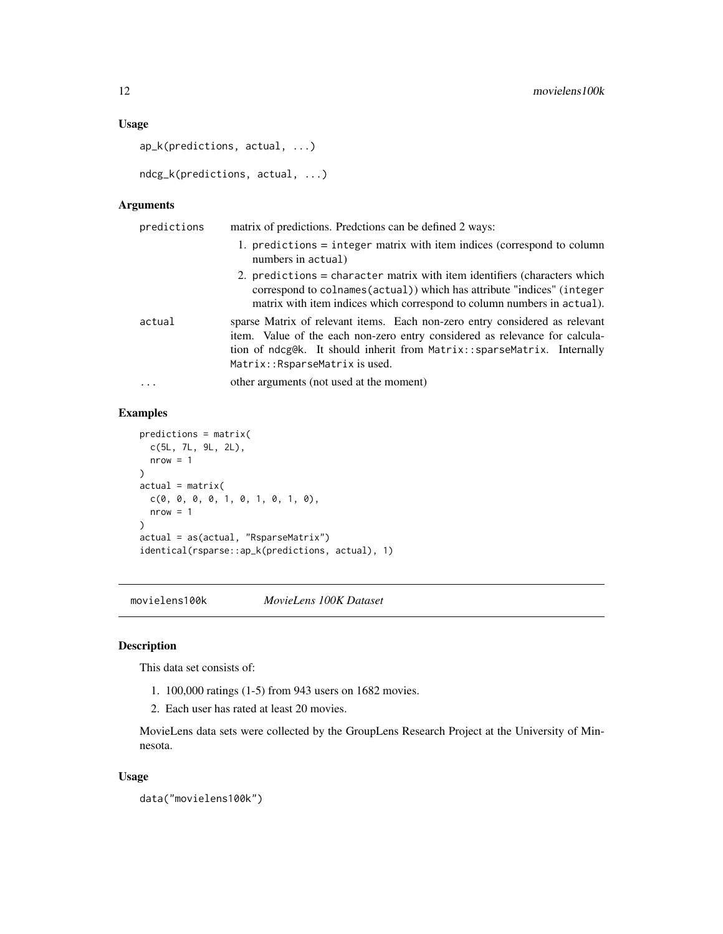# <span id="page-11-0"></span>Usage

```
ap_k(predictions, actual, ...)
```

```
ndcg_k(predictions, actual, ...)
```
# Arguments

| predictions | matrix of predictions. Predctions can be defined 2 ways:                                                                                                                                                                                                                 |
|-------------|--------------------------------------------------------------------------------------------------------------------------------------------------------------------------------------------------------------------------------------------------------------------------|
|             | 1. predictions $=$ integer matrix with item indices (correspond to column<br>numbers in actual)                                                                                                                                                                          |
|             | 2. predictions $=$ character matrix with item identifiers (characters which<br>correspond to colnames (actual) which has attribute "indices" (integer<br>matrix with item indices which correspond to column numbers in actual).                                         |
| actual      | sparse Matrix of relevant items. Each non-zero entry considered as relevant<br>item. Value of the each non-zero entry considered as relevance for calcula-<br>tion of ndcg@k. It should inherit from Matrix::sparseMatrix. Internally<br>Matrix:: RsparseMatrix is used. |
| $\ddots$ .  | other arguments (not used at the moment)                                                                                                                                                                                                                                 |

# Examples

```
predictions = matrix(
  c(5L, 7L, 9L, 2L),
  nrow = 1)
actual = matrix(c(0, 0, 0, 0, 1, 0, 1, 0, 1, 0),
  nrow = 1\mathcal{L}actual = as(actual, "RsparseMatrix")
identical(rsparse::ap_k(predictions, actual), 1)
```
movielens100k *MovieLens 100K Dataset*

# Description

This data set consists of:

- 1. 100,000 ratings (1-5) from 943 users on 1682 movies.
- 2. Each user has rated at least 20 movies.

MovieLens data sets were collected by the GroupLens Research Project at the University of Minnesota.

# Usage

```
data("movielens100k")
```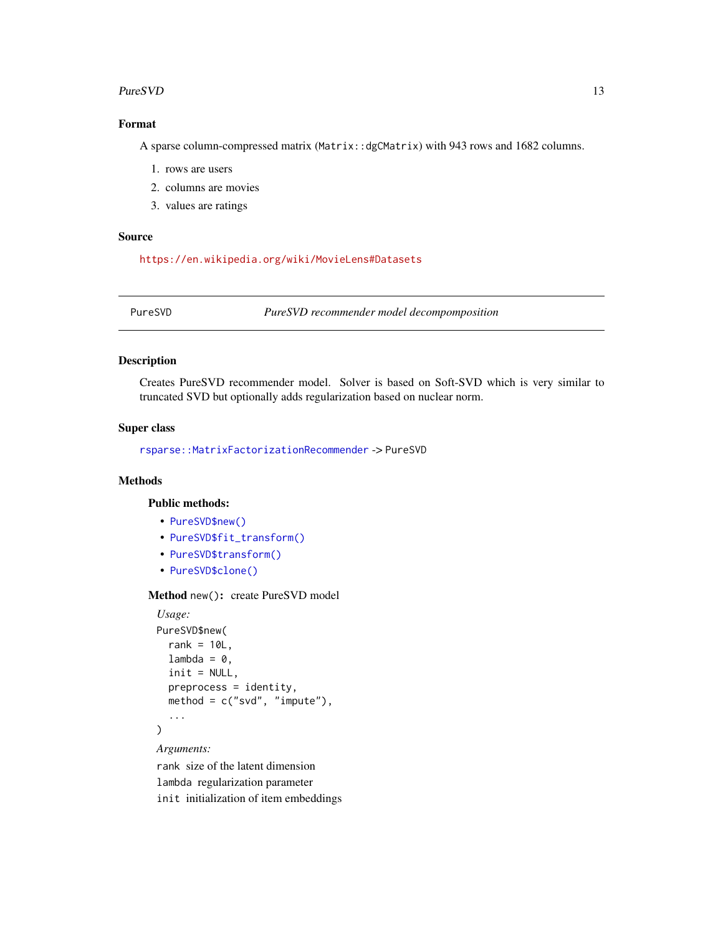## <span id="page-12-0"></span>PureSVD 13

# Format

A sparse column-compressed matrix (Matrix::dgCMatrix) with 943 rows and 1682 columns.

- 1. rows are users
- 2. columns are movies
- 3. values are ratings

#### Source

<https://en.wikipedia.org/wiki/MovieLens#Datasets>

PureSVD *PureSVD recommender model decompomposition*

#### Description

Creates PureSVD recommender model. Solver is based on Soft-SVD which is very similar to truncated SVD but optionally adds regularization based on nuclear norm.

# Super class

[rsparse::MatrixFactorizationRecommender](#page-0-0) -> PureSVD

# Methods

# Public methods:

- [PureSVD\\$new\(\)](#page-2-1)
- [PureSVD\\$fit\\_transform\(\)](#page-7-0)
- [PureSVD\\$transform\(\)](#page-9-0)
- [PureSVD\\$clone\(\)](#page-3-2)

# Method new(): create PureSVD model

```
Usage:
PureSVD$new(
  rank = 10L,
  lambda = 0,
  init = NULL,
  preprocess = identity,
 method = c("svd", "impute"),...
)
```
*Arguments:*

rank size of the latent dimension lambda regularization parameter init initialization of item embeddings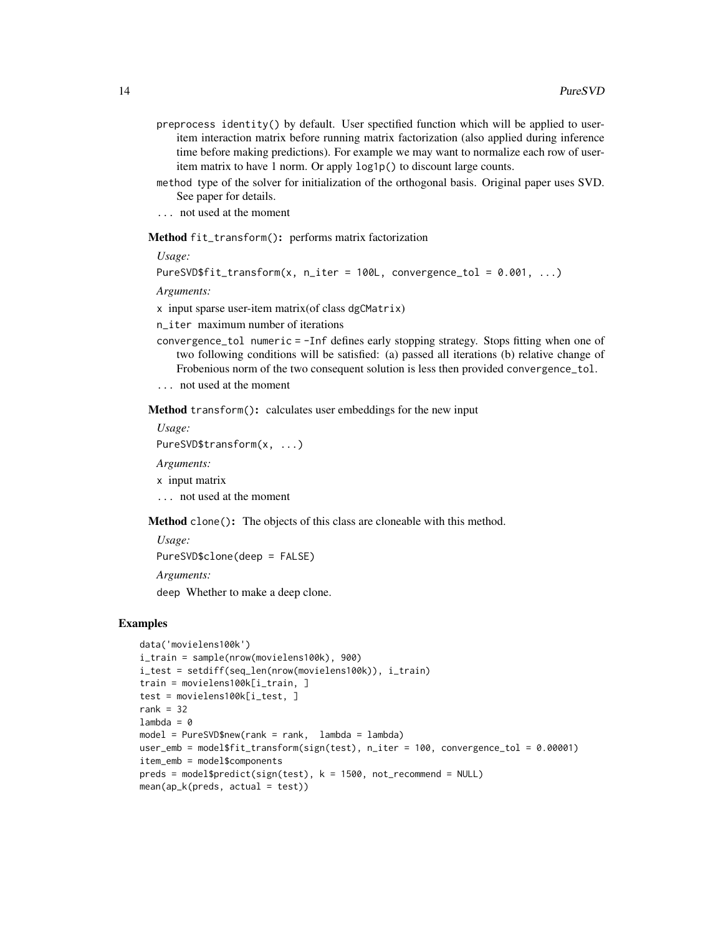- preprocess identity() by default. User spectified function which will be applied to useritem interaction matrix before running matrix factorization (also applied during inference time before making predictions). For example we may want to normalize each row of useritem matrix to have 1 norm. Or apply log1p() to discount large counts.
- method type of the solver for initialization of the orthogonal basis. Original paper uses SVD. See paper for details.
- ... not used at the moment

Method fit\_transform(): performs matrix factorization

*Usage:*

```
PureSVD$fit_transform(x, n_iter = 100L, convergence_tol = 0.001, \dots)
```
*Arguments:*

x input sparse user-item matrix(of class dgCMatrix)

n\_iter maximum number of iterations

- convergence\_tol numeric = -Inf defines early stopping strategy. Stops fitting when one of two following conditions will be satisfied: (a) passed all iterations (b) relative change of Frobenious norm of the two consequent solution is less then provided convergence\_tol.
- ... not used at the moment

Method transform(): calculates user embeddings for the new input

*Usage:*

PureSVD\$transform(x, ...)

*Arguments:*

x input matrix

... not used at the moment

Method clone(): The objects of this class are cloneable with this method.

*Usage:*

PureSVD\$clone(deep = FALSE)

*Arguments:*

deep Whether to make a deep clone.

# Examples

```
data('movielens100k')
i_train = sample(nrow(movielens100k), 900)
i_test = setdiff(seq_len(nrow(movielens100k)), i_train)
train = movielens100k[i_train, ]
test = movielens100k[i_test, ]
rank = 32lambda = 0model = PureSVD$new(rank = rank, lambda = lambda)
user_emb = model$fit_transform(sign(test), n_iter = 100, convergence_tol = 0.00001)
item_emb = model$components
preds = model$predict(sign(test), k = 1500, not_recommand = NULL)mean(ap_k(preds, actual = test))
```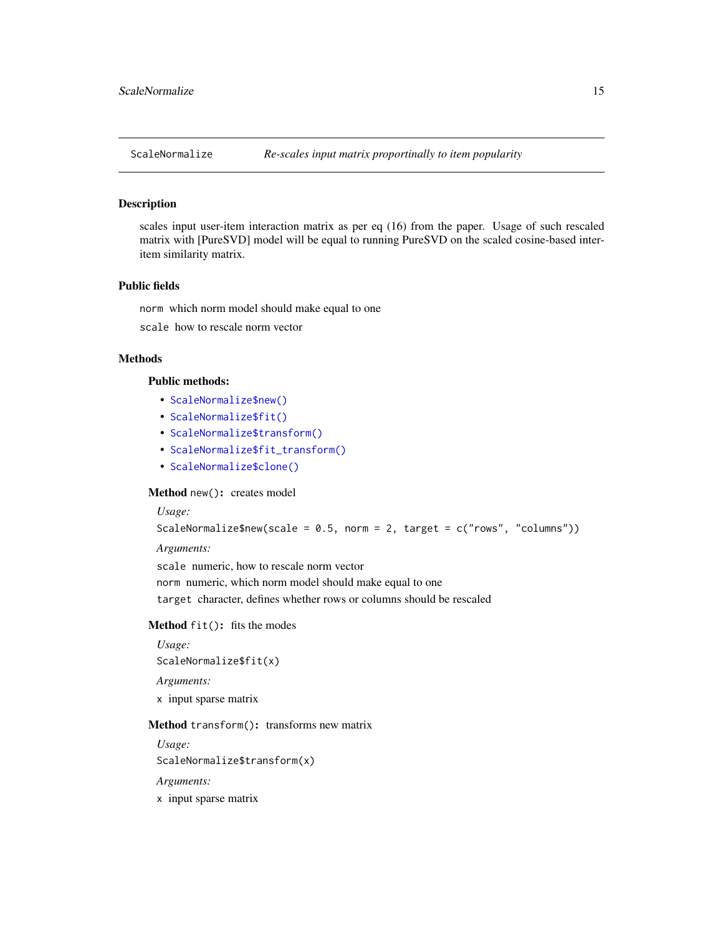<span id="page-14-0"></span>

#### Description

scales input user-item interaction matrix as per eq (16) from the paper. Usage of such rescaled matrix with [PureSVD] model will be equal to running PureSVD on the scaled cosine-based interitem similarity matrix.

# Public fields

norm which norm model should make equal to one scale how to rescale norm vector

# **Methods**

#### Public methods:

- [ScaleNormalize\\$new\(\)](#page-2-1)
- [ScaleNormalize\\$fit\(\)](#page-3-0)
- [ScaleNormalize\\$transform\(\)](#page-9-0)
- [ScaleNormalize\\$fit\\_transform\(\)](#page-7-0)
- [ScaleNormalize\\$clone\(\)](#page-3-2)

# Method new(): creates model

# *Usage:*

```
ScaleNormalize$new(scale = 0.5, norm = 2, target = c("rows", "columns"))
```
*Arguments:*

scale numeric, how to rescale norm vector

norm numeric, which norm model should make equal to one

target character, defines whether rows or columns should be rescaled

#### Method fit(): fits the modes

```
Usage:
ScaleNormalize$fit(x)
Arguments:
x input sparse matrix
```
#### Method transform(): transforms new matrix

*Usage:* ScaleNormalize\$transform(x)

*Arguments:*

x input sparse matrix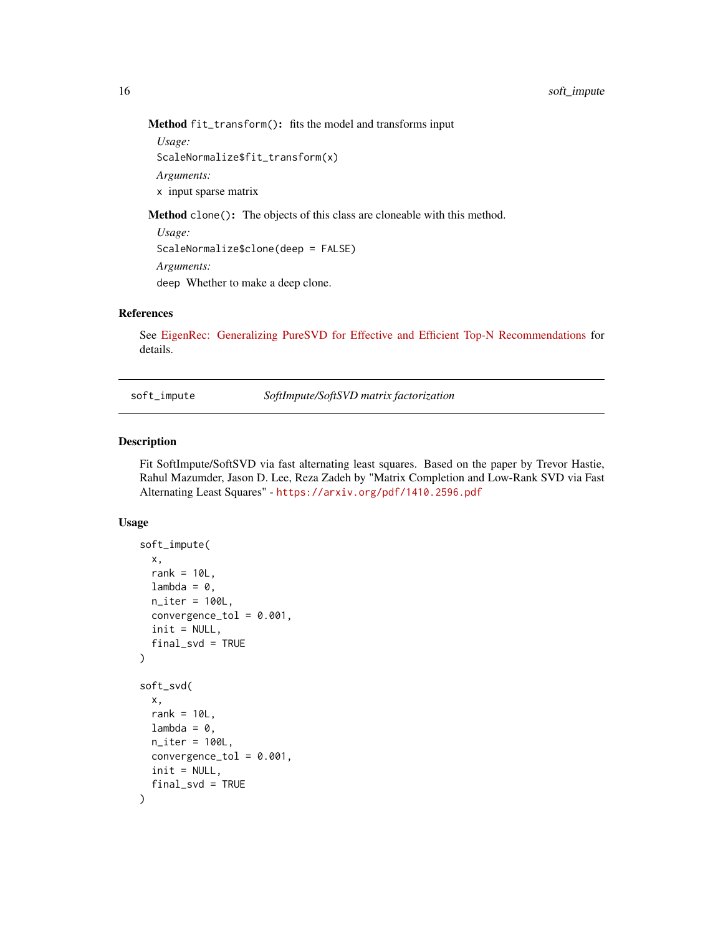Method fit\_transform(): fits the model and transforms input

```
Usage:
ScaleNormalize$fit_transform(x)
Arguments:
x input sparse matrix
```
Method clone(): The objects of this class are cloneable with this method.

*Usage:* ScaleNormalize\$clone(deep = FALSE) *Arguments:* deep Whether to make a deep clone.

#### References

See [EigenRec: Generalizing PureSVD for Effective and Efficient Top-N Recommendations](https://arxiv.org/pdf/1511.06033.pdf) for details.

soft\_impute *SoftImpute/SoftSVD matrix factorization*

# **Description**

Fit SoftImpute/SoftSVD via fast alternating least squares. Based on the paper by Trevor Hastie, Rahul Mazumder, Jason D. Lee, Reza Zadeh by "Matrix Completion and Low-Rank SVD via Fast Alternating Least Squares" - <https://arxiv.org/pdf/1410.2596.pdf>

# Usage

```
soft_impute(
  x,
  rank = 10L,
  lambda = 0,
  n<sub>_iter</sub> = 100L,
  convergence_tol = 0.001,
  init = NULL,
  final_svd = TRUE
)
soft_svd(
  x,
  rank = 10L,
  lambda = 0,
  n<sub>_iter</sub> = 100L,
  convergence_tol = 0.001,
  init = NULL,final_svd = TRUE
)
```
<span id="page-15-0"></span>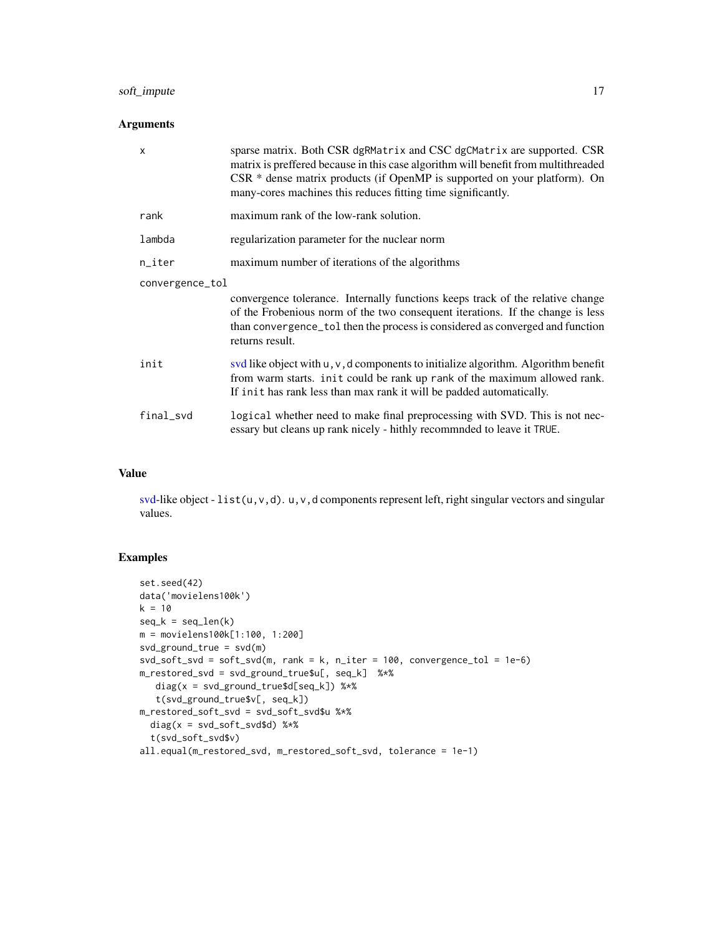# <span id="page-16-0"></span>soft\_impute 17

# Arguments

| $\mathsf{x}$    | sparse matrix. Both CSR dgRMatrix and CSC dgCMatrix are supported. CSR<br>matrix is preffered because in this case algorithm will benefit from multithreaded<br>$CSR *$ dense matrix products (if OpenMP is supported on your platform). On<br>many-cores machines this reduces fitting time significantly. |  |  |
|-----------------|-------------------------------------------------------------------------------------------------------------------------------------------------------------------------------------------------------------------------------------------------------------------------------------------------------------|--|--|
| rank            | maximum rank of the low-rank solution.                                                                                                                                                                                                                                                                      |  |  |
| lambda          | regularization parameter for the nuclear norm                                                                                                                                                                                                                                                               |  |  |
| n_iter          | maximum number of iterations of the algorithms                                                                                                                                                                                                                                                              |  |  |
| convergence_tol |                                                                                                                                                                                                                                                                                                             |  |  |
|                 | convergence tolerance. Internally functions keeps track of the relative change<br>of the Frobenious norm of the two consequent iterations. If the change is less<br>than convergence_tol then the process is considered as converged and function<br>returns result.                                        |  |  |
| init            | svd like object with $u, v, d$ components to initialize algorithm. Algorithm benefit<br>from warm starts. init could be rank up rank of the maximum allowed rank.<br>If init has rank less than max rank it will be padded automatically.                                                                   |  |  |
| final_svd       | logical whether need to make final preprocessing with SVD. This is not nec-<br>essary but cleans up rank nicely - hithly recommnded to leave it TRUE.                                                                                                                                                       |  |  |

# Value

[svd-](#page-0-0)like object - list(u,v,d). u,v,d components represent left, right singular vectors and singular values.

# Examples

```
set.seed(42)
data('movielens100k')
k = 10seq_k = seq_length(k)m = movielens100k[1:100, 1:200]
svd_ground_true = svd(m)
svd_soft_svd = soft_svd(m, rank = k, n_iter = 100, convergence_tol = 1e-6)m_restored_svd = svd_ground_true$u[, seq_k] %*%
   diag(x = svd_ground_true$d[seq_k]) %*%
   t(svd_ground_true$v[, seq_k])
m_restored_soft_svd = svd_soft_svd$u %*%
  diag(x = svd\_soft\_svd$d) %*%
  t(svd_soft_svd$v)
all.equal(m_restored_svd, m_restored_soft_svd, tolerance = 1e-1)
```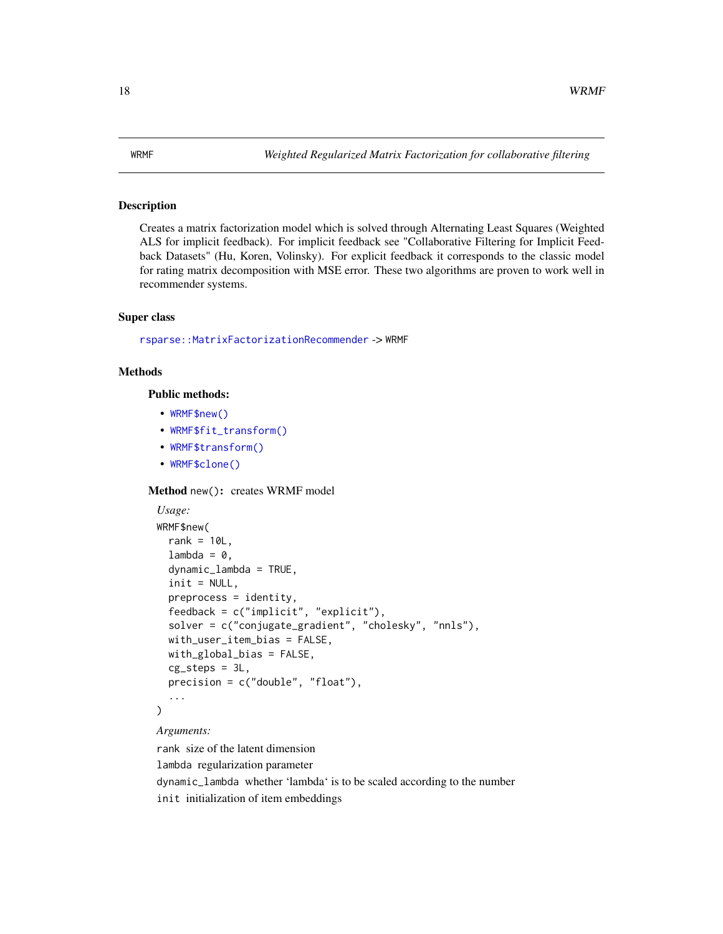## <span id="page-17-0"></span>Description

Creates a matrix factorization model which is solved through Alternating Least Squares (Weighted ALS for implicit feedback). For implicit feedback see "Collaborative Filtering for Implicit Feedback Datasets" (Hu, Koren, Volinsky). For explicit feedback it corresponds to the classic model for rating matrix decomposition with MSE error. These two algorithms are proven to work well in recommender systems.

# Super class

[rsparse::MatrixFactorizationRecommender](#page-0-0) -> WRMF

# **Methods**

Public methods:

- [WRMF\\$new\(\)](#page-2-1)
- [WRMF\\$fit\\_transform\(\)](#page-7-0)
- [WRMF\\$transform\(\)](#page-9-0)
- [WRMF\\$clone\(\)](#page-3-2)

Method new(): creates WRMF model

```
Usage:
WRMF$new(
  rank = 10L,
 lambda = 0,
  dynamic_lambda = TRUE,
  init = NULL,
  preprocess = identity,
  feedback = c("implicit", "explicit"),
  solver = c("conjugate_gradient", "cholesky", "nnls"),
 with_user_item_bias = FALSE,
 with_global_bias = FALSE,
  cg_steps = 3L,
 precision = c("double", "float"),
  ...
)
```
#### *Arguments:*

rank size of the latent dimension

lambda regularization parameter

dynamic\_lambda whether 'lambda' is to be scaled according to the number init initialization of item embeddings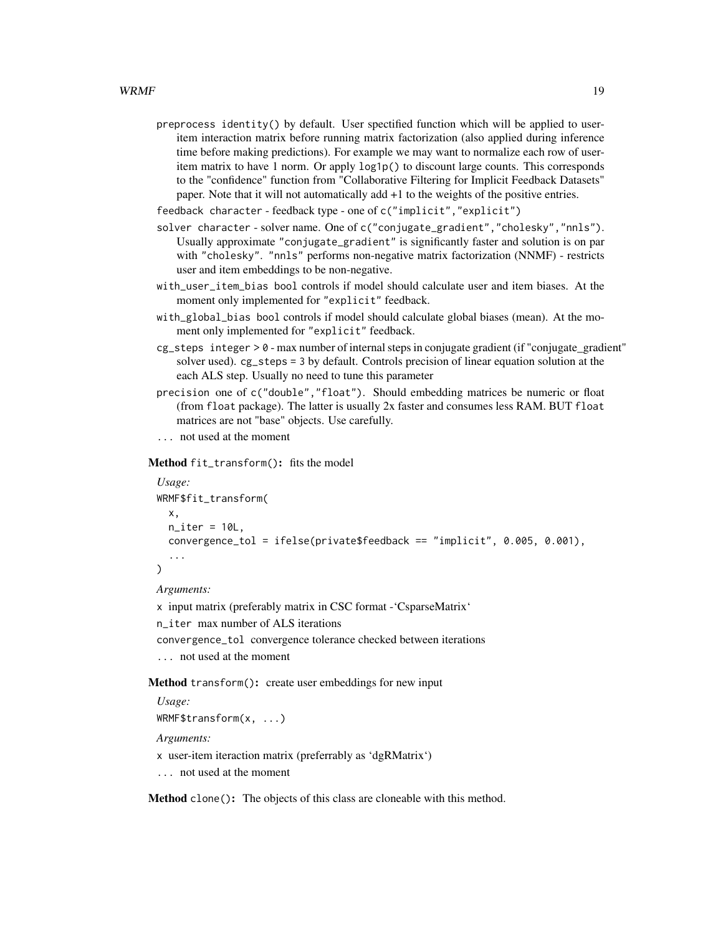preprocess identity() by default. User spectified function which will be applied to useritem interaction matrix before running matrix factorization (also applied during inference time before making predictions). For example we may want to normalize each row of useritem matrix to have 1 norm. Or apply log1p() to discount large counts. This corresponds to the "confidence" function from "Collaborative Filtering for Implicit Feedback Datasets" paper. Note that it will not automatically add +1 to the weights of the positive entries.

feedback character - feedback type - one of c("implicit","explicit")

- solver character solver name. One of c("conjugate\_gradient","cholesky","nnls"). Usually approximate "conjugate\_gradient" is significantly faster and solution is on par with "cholesky". "nnls" performs non-negative matrix factorization (NNMF) - restricts user and item embeddings to be non-negative.
- with\_user\_item\_bias bool controls if model should calculate user and item biases. At the moment only implemented for "explicit" feedback.
- with\_global\_bias bool controls if model should calculate global biases (mean). At the moment only implemented for "explicit" feedback.
- cg\_steps integer > 0 max number of internal steps in conjugate gradient (if "conjugate\_gradient" solver used). cg\_steps = 3 by default. Controls precision of linear equation solution at the each ALS step. Usually no need to tune this parameter
- precision one of c("double","float"). Should embedding matrices be numeric or float (from float package). The latter is usually 2x faster and consumes less RAM. BUT float matrices are not "base" objects. Use carefully.

... not used at the moment

Method fit\_transform(): fits the model

```
Usage:
WRMF$fit_transform(
  x,
 n<sub>_iter</sub> = 10L,
  convergence_tol = ifelse(private$feedback == "implicit", 0.005, 0.001),
  ...
)
```
*Arguments:*

- x input matrix (preferably matrix in CSC format -'CsparseMatrix'
- n\_iter max number of ALS iterations

convergence\_tol convergence tolerance checked between iterations

```
... not used at the moment
```
Method transform(): create user embeddings for new input

```
Usage:
WRMF$transform(x, ...)
Arguments:
```
x user-item iteraction matrix (preferrably as 'dgRMatrix')

... not used at the moment

Method clone(): The objects of this class are cloneable with this method.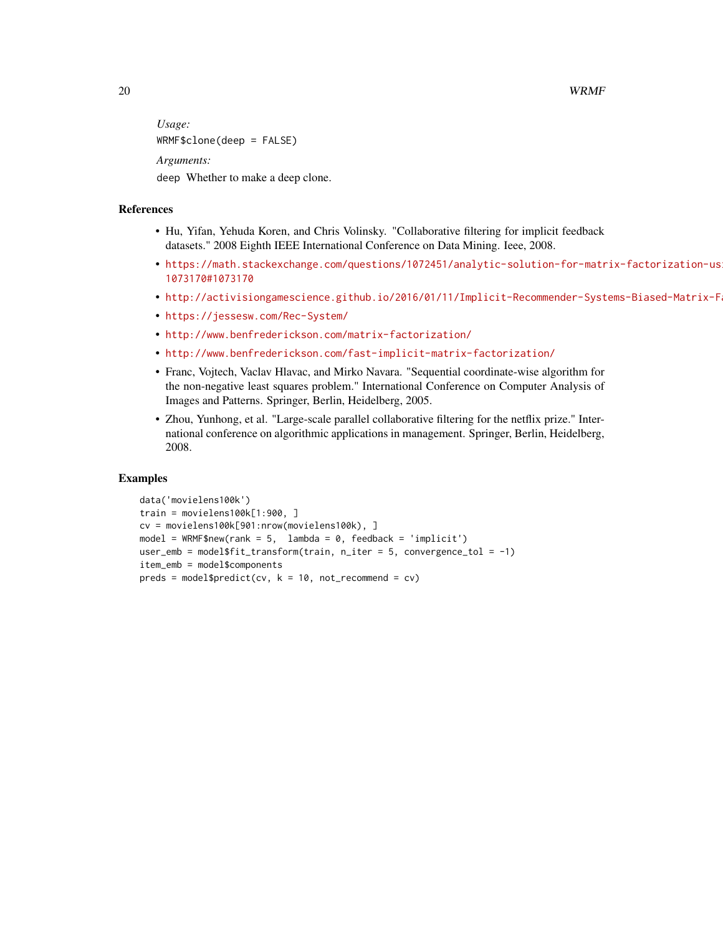20 and the contract of the contract of the contract of the contract of the contract of the contract of the contract of the contract of the contract of the contract of the contract of the contract of the contract of the con

*Usage:* WRMF\$clone(deep = FALSE) *Arguments:* deep Whether to make a deep clone.

### References

- Hu, Yifan, Yehuda Koren, and Chris Volinsky. "Collaborative filtering for implicit feedback datasets." 2008 Eighth IEEE International Conference on Data Mining. Ieee, 2008.
- [https://math.stackexchange.com/questions/1072451/analytic-solution-for-matr](https://math.stackexchange.com/questions/1072451/analytic-solution-for-matrix-factorization-using-alternating-least-squares/1073170#1073170)ix-factorization-us [1073170#1073170](https://math.stackexchange.com/questions/1072451/analytic-solution-for-matrix-factorization-using-alternating-least-squares/1073170#1073170)
- http://activisiongamescience.github.io/2016/01/11/Implicit-Recommender-Systems-Biased-Matrix-F
- <https://jessesw.com/Rec-System/>
- <http://www.benfrederickson.com/matrix-factorization/>
- <http://www.benfrederickson.com/fast-implicit-matrix-factorization/>
- Franc, Vojtech, Vaclav Hlavac, and Mirko Navara. "Sequential coordinate-wise algorithm for the non-negative least squares problem." International Conference on Computer Analysis of Images and Patterns. Springer, Berlin, Heidelberg, 2005.
- Zhou, Yunhong, et al. "Large-scale parallel collaborative filtering for the netflix prize." International conference on algorithmic applications in management. Springer, Berlin, Heidelberg, 2008.

#### Examples

```
data('movielens100k')
train = movielens100k[1:900, ]
cv = movielens100k[901:nrow(movielens100k), ]
model = WRMF$new(rank = 5, lambda = 0, feedback = 'implicit')
user_emb = model$fit_transform(train, n_iter = 5, convergence_tol = -1)
item_emb = model$components
preds = model$predict(cv, k = 10, not_recommand = cv)
```